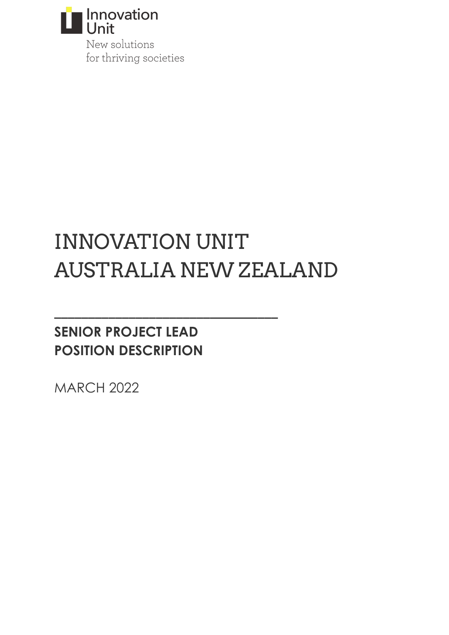

New solutions for thriving societies

# INNOVATION UNIT AUSTRALIA NEW ZEALAND

**\_\_\_\_\_\_\_\_\_\_\_\_\_\_\_\_\_\_\_\_\_\_\_\_\_\_\_\_\_\_\_\_\_**

# **SENIOR PROJECT LEAD POSITION DESCRIPTION**

MARCH 2022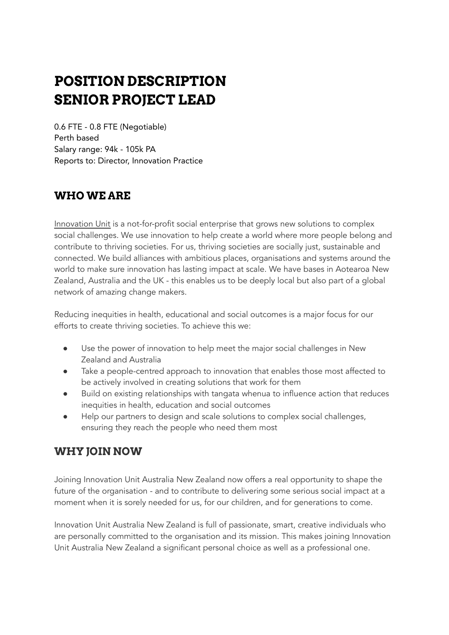# **POSITION DESCRIPTION SENIOR PROJECT LEAD**

0.6 FTE - 0.8 FTE (Negotiable) Perth based Salary range: 94k - 105k PA Reports to: Director, Innovation Practice

## **WHO WE ARE**

[Innovation](https://www.innovationunit.org/) Unit is a not-for-profit social enterprise that grows new solutions to complex social challenges. We use innovation to help create a world where more people belong and contribute to thriving societies. For us, thriving societies are socially just, sustainable and connected. We build alliances with ambitious places, organisations and systems around the world to make sure innovation has lasting impact at scale. We have bases in Aotearoa New Zealand, Australia and the UK - this enables us to be deeply local but also part of a global network of amazing change makers.

Reducing inequities in health, educational and social outcomes is a major focus for our efforts to create thriving societies. To achieve this we:

- Use the power of innovation to help meet the major social challenges in New Zealand and Australia
- Take a people-centred approach to innovation that enables those most affected to be actively involved in creating solutions that work for them
- Build on existing relationships with tangata whenua to influence action that reduces inequities in health, education and social outcomes
- Help our partners to design and scale solutions to complex social challenges, ensuring they reach the people who need them most

## **WHY JOIN NOW**

Joining Innovation Unit Australia New Zealand now offers a real opportunity to shape the future of the organisation - and to contribute to delivering some serious social impact at a moment when it is sorely needed for us, for our children, and for generations to come.

Innovation Unit Australia New Zealand is full of passionate, smart, creative individuals who are personally committed to the organisation and its mission. This makes joining Innovation Unit Australia New Zealand a significant personal choice as well as a professional one.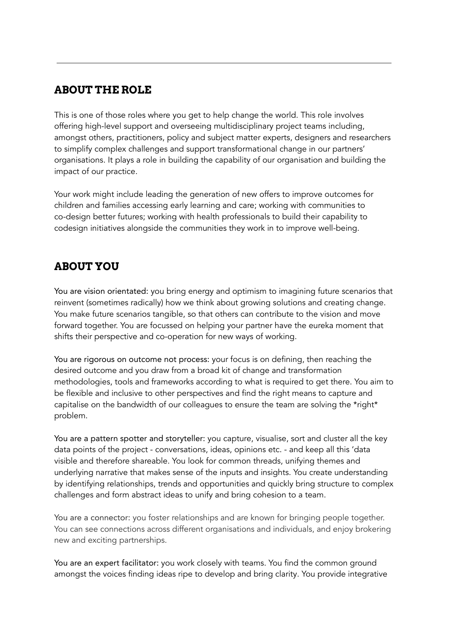## **ABOUT THE ROLE**

This is one of those roles where you get to help change the world. This role involves offering high-level support and overseeing multidisciplinary project teams including, amongst others, practitioners, policy and subject matter experts, designers and researchers to simplify complex challenges and support transformational change in our partners' organisations. It plays a role in building the capability of our organisation and building the impact of our practice.

Your work might include leading the generation of new offers to improve outcomes for children and families accessing early learning and care; working with communities to co-design better futures; working with health professionals to build their capability to codesign initiatives alongside the communities they work in to improve well-being.

# **ABOUT YOU**

You are vision orientated: you bring energy and optimism to imagining future scenarios that reinvent (sometimes radically) how we think about growing solutions and creating change. You make future scenarios tangible, so that others can contribute to the vision and move forward together. You are focussed on helping your partner have the eureka moment that shifts their perspective and co-operation for new ways of working.

You are rigorous on outcome not process: your focus is on defining, then reaching the desired outcome and you draw from a broad kit of change and transformation methodologies, tools and frameworks according to what is required to get there. You aim to be flexible and inclusive to other perspectives and find the right means to capture and capitalise on the bandwidth of our colleagues to ensure the team are solving the \*right\* problem.

You are a pattern spotter and storyteller: you capture, visualise, sort and cluster all the key data points of the project - conversations, ideas, opinions etc. - and keep all this 'data visible and therefore shareable. You look for common threads, unifying themes and underlying narrative that makes sense of the inputs and insights. You create understanding by identifying relationships, trends and opportunities and quickly bring structure to complex challenges and form abstract ideas to unify and bring cohesion to a team.

You are a connector: you foster relationships and are known for bringing people together. You can see connections across different organisations and individuals, and enjoy brokering new and exciting partnerships.

You are an expert facilitator: you work closely with teams. You find the common ground amongst the voices finding ideas ripe to develop and bring clarity. You provide integrative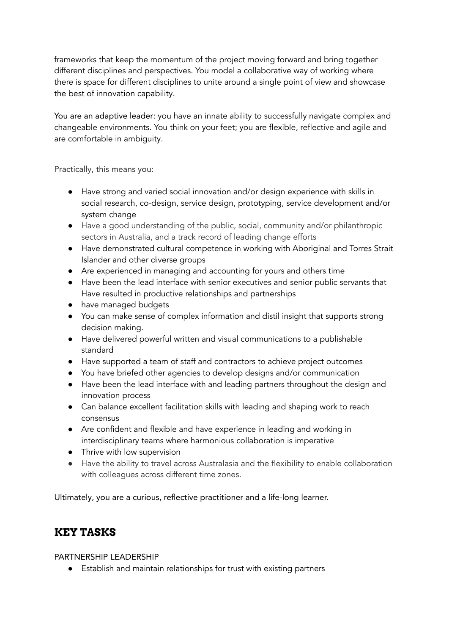frameworks that keep the momentum of the project moving forward and bring together different disciplines and perspectives. You model a collaborative way of working where there is space for different disciplines to unite around a single point of view and showcase the best of innovation capability.

You are an adaptive leader: you have an innate ability to successfully navigate complex and changeable environments. You think on your feet; you are flexible, reflective and agile and are comfortable in ambiguity.

Practically, this means you:

- Have strong and varied social innovation and/or design experience with skills in social research, co-design, service design, prototyping, service development and/or system change
- Have a good understanding of the public, social, community and/or philanthropic sectors in Australia, and a track record of leading change efforts
- Have demonstrated cultural competence in working with Aboriginal and Torres Strait Islander and other diverse groups
- Are experienced in managing and accounting for yours and others time
- Have been the lead interface with senior executives and senior public servants that Have resulted in productive relationships and partnerships
- have managed budgets
- You can make sense of complex information and distil insight that supports strong decision making.
- Have delivered powerful written and visual communications to a publishable standard
- Have supported a team of staff and contractors to achieve project outcomes
- You have briefed other agencies to develop designs and/or communication
- Have been the lead interface with and leading partners throughout the design and innovation process
- Can balance excellent facilitation skills with leading and shaping work to reach consensus
- Are confident and flexible and have experience in leading and working in interdisciplinary teams where harmonious collaboration is imperative
- Thrive with low supervision
- Have the ability to travel across Australasia and the flexibility to enable collaboration with colleagues across different time zones.

Ultimately, you are a curious, reflective practitioner and a life-long learner.

#### **KEY TASKS**

PARTNERSHIP LEADERSHIP

● Establish and maintain relationships for trust with existing partners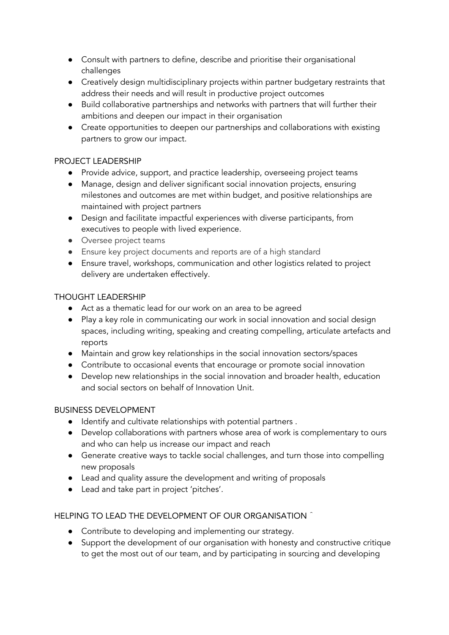- Consult with partners to define, describe and prioritise their organisational challenges
- Creatively design multidisciplinary projects within partner budgetary restraints that address their needs and will result in productive project outcomes
- Build collaborative partnerships and networks with partners that will further their ambitions and deepen our impact in their organisation
- Create opportunities to deepen our partnerships and collaborations with existing partners to grow our impact.

#### PROJECT LEADERSHIP

- Provide advice, support, and practice leadership, overseeing project teams
- Manage, design and deliver significant social innovation projects, ensuring milestones and outcomes are met within budget, and positive relationships are maintained with project partners
- Design and facilitate impactful experiences with diverse participants, from executives to people with lived experience.
- Oversee project teams
- Ensure key project documents and reports are of a high standard
- Ensure travel, workshops, communication and other logistics related to project delivery are undertaken effectively.

#### THOUGHT LEADERSHIP

- Act as a thematic lead for our work on an area to be agreed
- Play a key role in communicating our work in social innovation and social design spaces, including writing, speaking and creating compelling, articulate artefacts and reports
- Maintain and grow key relationships in the social innovation sectors/spaces
- Contribute to occasional events that encourage or promote social innovation
- Develop new relationships in the social innovation and broader health, education and social sectors on behalf of Innovation Unit.

#### BUSINESS DEVELOPMENT

- Identify and cultivate relationships with potential partners .
- Develop collaborations with partners whose area of work is complementary to ours and who can help us increase our impact and reach
- Generate creative ways to tackle social challenges, and turn those into compelling new proposals
- Lead and quality assure the development and writing of proposals
- Lead and take part in project 'pitches'.

#### HELPING TO LEAD THE DEVELOPMENT OF OUR ORGANISATION ^

- Contribute to developing and implementing our strategy.
- Support the development of our organisation with honesty and constructive critique to get the most out of our team, and by participating in sourcing and developing